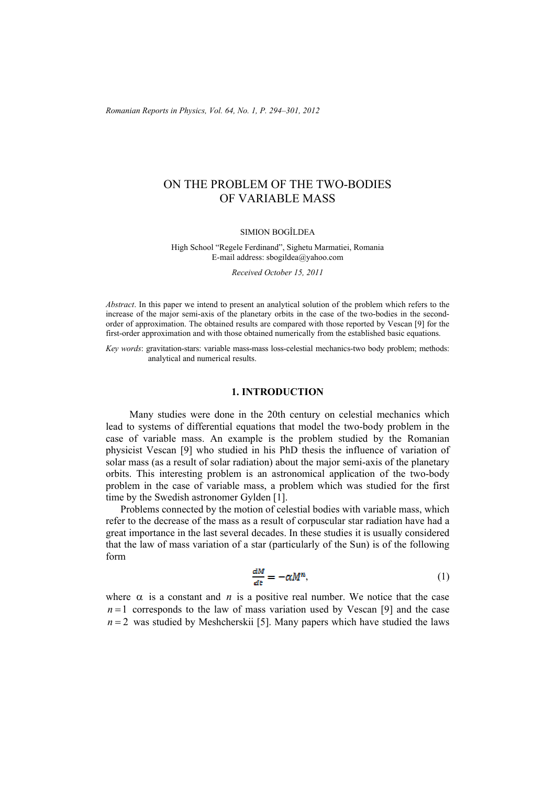*Romanian Reports in Physics, Vol. 64, No. 1, P. 294–301, 2012*

# ON THE PROBLEM OF THE TWO-BODIES OF VARIABLE MASS

#### SIMION BOGÎLDEA

High School "Regele Ferdinand", Sighetu Marmatiei, Romania E-mail address: sbogildea@yahoo.com

*Received October 15, 2011* 

*Abstract*. In this paper we intend to present an analytical solution of the problem which refers to the increase of the major semi-axis of the planetary orbits in the case of the two-bodies in the secondorder of approximation. The obtained results are compared with those reported by Vescan [9] for the first-order approximation and with those obtained numerically from the established basic equations.

*Key words*: gravitation-stars: variable mass-mass loss-celestial mechanics-two body problem; methods: analytical and numerical results.

#### **1. INTRODUCTION**

Many studies were done in the 20th century on celestial mechanics which lead to systems of differential equations that model the two-body problem in the case of variable mass. An example is the problem studied by the Romanian physicist Vescan [9] who studied in his PhD thesis the influence of variation of solar mass (as a result of solar radiation) about the major semi-axis of the planetary orbits. This interesting problem is an astronomical application of the two-body problem in the case of variable mass, a problem which was studied for the first time by the Swedish astronomer Gylden [1].

Problems connected by the motion of celestial bodies with variable mass, which refer to the decrease of the mass as a result of corpuscular star radiation have had a great importance in the last several decades. In these studies it is usually considered that the law of mass variation of a star (particularly of the Sun) is of the following form

$$
\frac{dM}{dt} = -\alpha M^n,\tag{1}
$$

where  $\alpha$  is a constant and *n* is a positive real number. We notice that the case  $n=1$  corresponds to the law of mass variation used by Vescan [9] and the case  $n = 2$  was studied by Meshcherskii [5]. Many papers which have studied the laws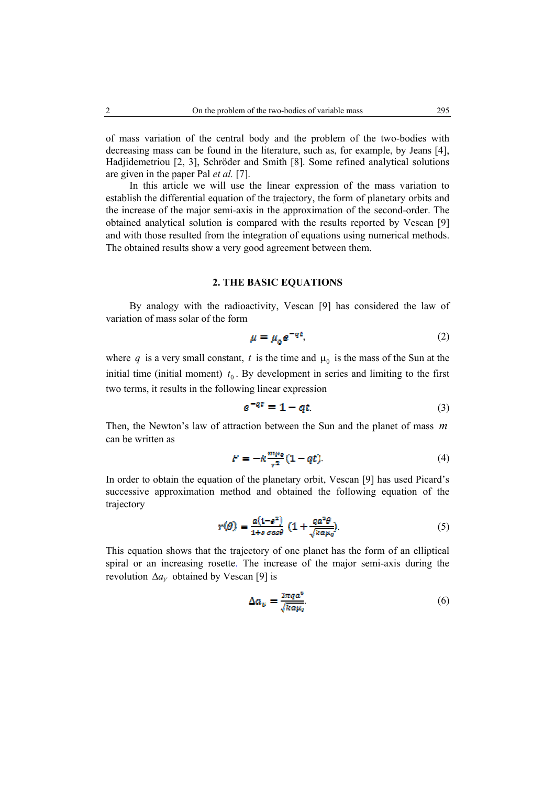of mass variation of the central body and the problem of the two-bodies with decreasing mass can be found in the literature, such as, for example, by Jeans [4], Hadjidemetriou [2, 3], Schröder and Smith [8]. Some refined analytical solutions are given in the paper Pal *et al.* [7].

In this article we will use the linear expression of the mass variation to establish the differential equation of the trajectory, the form of planetary orbits and the increase of the major semi-axis in the approximation of the second-order. The obtained analytical solution is compared with the results reported by Vescan [9] and with those resulted from the integration of equations using numerical methods. The obtained results show a very good agreement between them.

#### **2. THE BASIC EQUATIONS**

By analogy with the radioactivity, Vescan [9] has considered the law of variation of mass solar of the form

$$
\mu = \mu_0 e^{-q \epsilon},\tag{2}
$$

where q is a very small constant, t is the time and  $\mu_0$  is the mass of the Sun at the initial time (initial moment)  $t_0$ . By development in series and limiting to the first two terms, it results in the following linear expression

$$
e^{-qt} = 1 - qt. \tag{3}
$$

Then, the Newton's law of attraction between the Sun and the planet of mass *m* can be written as

$$
F = -k \frac{m\mu_0}{r^2} (1 - qt).
$$
 (4)

In order to obtain the equation of the planetary orbit, Vescan [9] has used Picard's successive approximation method and obtained the following equation of the trajectory

$$
r(\theta) = \frac{a(1 - e^2)}{1 + e \cos \theta} \left( 1 + \frac{qa^2 \theta}{\sqrt{k a \mu_0}} \right).
$$
 (5)

This equation shows that the trajectory of one planet has the form of an elliptical spiral or an increasing rosette. The increase of the major semi-axis during the revolution  $\Delta a_V$  obtained by Vescan [9] is

$$
\Delta a_{\nu} = \frac{2\pi q a^2}{\sqrt{k a \mu_0}}.\tag{6}
$$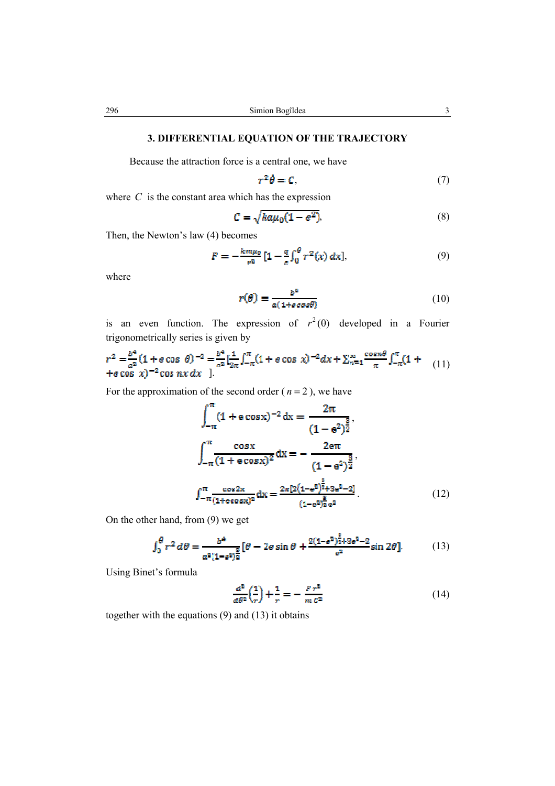# **3. DIFFERENTIAL EQUATION OF THE TRAJECTORY**

Because the attraction force is a central one, we have

$$
r^2\dot{\theta} = C,\tag{7}
$$

where  $C$  is the constant area which has the expression

$$
C = \sqrt{k a \mu_0 (1 - e^2)},\tag{8}
$$

Then, the Newton's law (4) becomes

$$
F = -\frac{k m \mu_0}{r^2} \left[ 1 - \frac{q}{c} \int_0^\theta r^2(x) \, dx \right],\tag{9}
$$

where

$$
r(\theta) = \frac{b^2}{a(1 + \epsilon \cos \theta)}
$$
 (10)

is an even function. The expression of  $r^2(\theta)$  developed in a Fourier trigonometrically series is given by

$$
r^{2} = \frac{b^{4}}{a^{2}} (1 + e \cos \theta)^{-2} = \frac{b^{4}}{a^{2}} \left[ \frac{1}{2\pi} \int_{-\pi}^{\pi} (1 + e \cos x)^{-2} dx + \sum_{n=1}^{\infty} \frac{\cos n\theta}{n} \int_{-\pi}^{\pi} (1 + e \cos x)^{-2} \cos nx \, dx \right]
$$
(11)

For the approximation of the second order ( $n = 2$ ), we have

$$
\int_{-\pi}^{\pi} (1 + e \cos x)^{-2} dx = \frac{2\pi}{(1 - e^2)^{\frac{5}{2}}},
$$

$$
\int_{-\pi}^{\pi} \frac{\cos x}{(1 + e \cos x)^2} dx = -\frac{2e\pi}{(1 - e^2)^{\frac{3}{2}}},
$$

$$
\int_{-\pi}^{\pi} \frac{\cos 2x}{(1 + e \cos x)^2} dx = \frac{2\pi [2(1 - e^2)^{\frac{3}{2}} + 3e^2 - 2]}{(1 - e^2)^{\frac{5}{2}}e^2}.
$$
(12)

On the other hand, from (9) we get

$$
\int_0^{\theta} r^2 d\theta = \frac{b^4}{a^2 (1 - s^2)^{\frac{5}{2}}} [\theta - 2e \sin \theta + \frac{2(1 - s^2)^{\frac{3}{2}} + 3s^2 - 2}{s^2} \sin 2\theta].
$$
 (13)

Using Binet's formula

$$
\frac{d^2}{d\theta^2} \left(\frac{1}{r}\right) + \frac{1}{r} = -\frac{Fr^2}{m\,\sigma^2} \tag{14}
$$

together with the equations (9) and (13) it obtains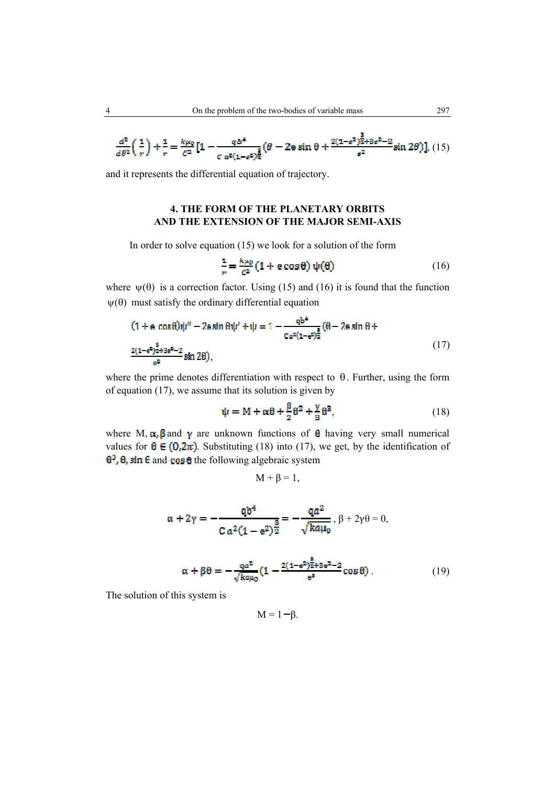$$
\frac{d^2}{d\theta^2} \left(\frac{1}{r}\right) + \frac{1}{r} = \frac{k\mu_0}{c^2} \left[1 - \frac{q b^4}{c a^2 (1 - \theta^2)^{\frac{2}{2}}} (\theta - 2e \sin \theta + \frac{2(1 - \theta^2)^{\frac{2}{2}} + 3e^2 - 2}{\theta^2} \sin 2\theta \right], (15)
$$

and it represents the differential equation of trajectory.

# **4. THE FORM OF THE PLANETARY ORBITS AND THE EXTENSION OF THE MAJOR SEMI-AXIS**

In order to solve equation (15) we look for a solution of the form

$$
\frac{1}{r} = \frac{k\mu_0}{c^2} \left( 1 + e \cos \theta \right) \psi(\theta) \tag{16}
$$

where  $\psi(\theta)$  is a correction factor. Using (15) and (16) it is found that the function  $\psi(\theta)$  must satisfy the ordinary differential equation

$$
(1 + a \cos \theta)\psi'' - 2a \sin \theta \psi' + \psi = 1 - \frac{q b^4}{c a^2 (1 - a^2)^{\frac{2}{2}}} (\theta - 2a \sin \theta + \frac{2(1 - a^2)^{\frac{2}{3}} + 3a^2 - 2}{a^2} \sin 2\theta),
$$
\n(17)

in la

where the prime denotes differentiation with respect to  $\theta$ . Further, using the form of equation (17), we assume that its solution is given by

$$
\psi = M + \alpha \theta + \frac{\beta}{2} \theta^2 + \frac{\gamma}{3} \theta^3, \tag{18}
$$

where M,  $\alpha$ ,  $\beta$  and  $\gamma$  are unknown functions of  $\theta$  having very small numerical values for  $\theta \in (0, 2\pi)$ . Substituting (18) into (17), we get, by the identification of  $\theta^3$ ,  $\theta$ , sin  $\theta$  and cos  $\theta$  the following algebraic system

$$
M + \beta = 1,
$$

$$
\alpha + 2\gamma = -\frac{qb^4}{C\,a^2(1 - e^2)^{\frac{3}{2}}} = -\frac{qa^2}{\sqrt{k a \mu_0}}, \, \beta + 2\gamma\theta = 0,
$$

$$
\alpha + \beta \theta = -\frac{qa^2}{\sqrt{k\alpha\mu_0}} \left(1 - \frac{2(1 - e^2)^{\frac{3}{2} + 3e^2 - 2}}{e^s} \cos \theta\right). \tag{19}
$$

The solution of this system is

$$
M=1-\beta.
$$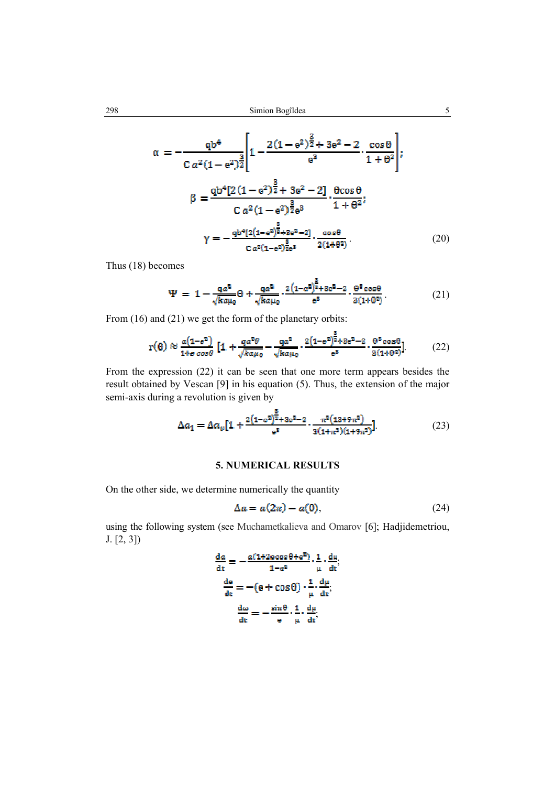$$
\alpha = -\frac{qb^4}{C a^2 (1 - e^2)^{\frac{3}{2}}} \left[ 1 - \frac{2(1 - e^2)^{\frac{3}{2}} + 3e^2 - 2}{e^3} \cdot \frac{\cos \theta}{1 + \theta^2} \right];
$$
  

$$
\beta = \frac{qb^4 [2(1 - e^2)^{\frac{3}{2}} + 3e^2 - 2]}{C a^2 (1 - e^2)^{\frac{3}{2}} e^3} \cdot \frac{\theta \cos \theta}{1 + \theta^2};
$$
  

$$
\gamma = -\frac{qb^4 [2(1 - e^2)^{\frac{3}{2}} + 3e^2 - 2]}{C a^2 (1 - e^2)^{\frac{3}{2}} e^3} \cdot \frac{\cos \theta}{2(1 + \theta^2)}.
$$
 (20)

Thus (18) becomes

$$
\Psi = 1 - \frac{q\alpha^2}{\sqrt{k a \mu_0}} \theta + \frac{q\alpha^2}{\sqrt{k a \mu_0}} \cdot \frac{2\left(1 - e^2\right)^{\frac{3}{2}} + 3e^2 - 2}{e^8} \cdot \frac{\theta^5 \cos \theta}{3(1 + \theta^2)}.
$$
(21)

From  $(16)$  and  $(21)$  we get the form of the planetary orbits:

$$
r(\theta) \approx \frac{a(1-e^z)}{1+e\cos\theta} \left[1 + \frac{qa^2\theta}{\sqrt{k\alpha\mu_0}} - \frac{qa^z}{\sqrt{k\alpha\mu_0}} \cdot \frac{2(1-e^z)^{\frac{z}{2}}+3e^z-2}{e^z} \cdot \frac{\theta^z\cos\theta}{3(1+\theta^z)}\right].
$$
 (22)

From the expression (22) it can be seen that one more term appears besides the result obtained by Vescan [9] in his equation (5). Thus, the extension of the major semi-axis during a revolution is given by

$$
\Delta a_1 = \Delta a_v [1 + \frac{2(1 - e^2)^{\frac{5}{2}} + 3e^2 - 2}{e^5} \cdot \frac{\pi^2 (13 + 9\pi^2)}{3(1 + \pi^2)(1 + 9\pi^2)}].
$$
\n(23)

# **5. NUMERICAL RESULTS**

On the other side, we determine numerically the quantity

$$
\Delta a = a(2\pi) - a(0),\tag{24}
$$

using the following system (see Muchametkalieva and Omarov [6]; Hadjidemetriou, J. [2, 3])

$$
\frac{da}{dt} = -\frac{a(1+2e\cos\theta + e^{2})}{1-e^{2}} \cdot \frac{1}{\mu} \cdot \frac{d\mu}{dt},
$$

$$
\frac{de}{dt} = -(e + \cos\theta) \cdot \frac{1}{\mu} \cdot \frac{d\mu}{dt},
$$

$$
\frac{d\omega}{dt} = -\frac{\sin\theta}{e} \cdot \frac{1}{\mu} \cdot \frac{d\mu}{dt},
$$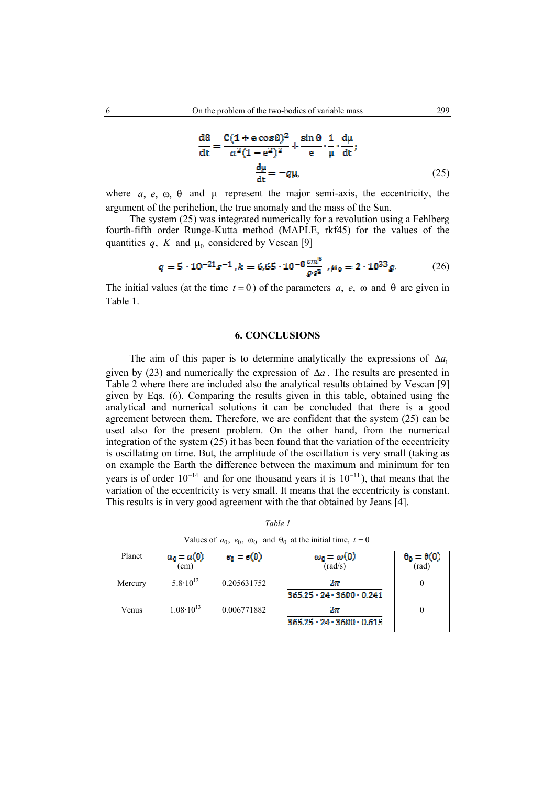$$
\frac{d\theta}{dt} = \frac{C(1 + e \cos \theta)^2}{a^2(1 - e^2)^2} + \frac{\sin \theta}{e} \cdot \frac{1}{\mu} \cdot \frac{d\mu}{dt};
$$
\n
$$
\frac{d\mu}{dt} = -q\mu,
$$
\n(25)

where  $a, e, \omega, \theta$  and  $\mu$  represent the major semi-axis, the eccentricity, the argument of the perihelion, the true anomaly and the mass of the Sun.

 The system (25) was integrated numerically for a revolution using a Fehlberg fourth-fifth order Runge-Kutta method (MAPLE, rkf45) for the values of the quantities  $q$ , K and  $\mu_0$  considered by Vescan [9]

$$
q = 5 \cdot 10^{-21} s^{-1}, k = 6.65 \cdot 10^{-8} \frac{cm^3}{g \cdot s^2}, \mu_0 = 2 \cdot 10^{38} g. \tag{26}
$$

The initial values (at the time  $t = 0$ ) of the parameters  $a, e, \omega$  and  $\theta$  are given in Table 1.

### **6. CONCLUSIONS**

The aim of this paper is to determine analytically the expressions of  $\Delta a_1$ given by (23) and numerically the expression of ∆*a* . The results are presented in Table 2 where there are included also the analytical results obtained by Vescan [9] given by Eqs. (6). Comparing the results given in this table, obtained using the analytical and numerical solutions it can be concluded that there is a good agreement between them. Therefore, we are confident that the system (25) can be used also for the present problem. On the other hand, from the numerical integration of the system  $(25)$  it has been found that the variation of the eccentricity is oscillating on time. But, the amplitude of the oscillation is very small (taking as on example the Earth the difference between the maximum and minimum for ten years is of order  $10^{-14}$  and for one thousand years it is  $10^{-11}$ ), that means that the variation of the eccentricity is very small. It means that the eccentricity is constant. This results is in very good agreement with the that obtained by Jeans [4].

| Planet  | $a_0 = a(0)$<br>(cm) | $e_0 = e(0)$ | $\omega_0 = \omega(0)$<br>(rad/s)              | $\theta_0 = \theta(0)$<br>(rad) |
|---------|----------------------|--------------|------------------------------------------------|---------------------------------|
| Mercury | $5.8 \cdot 10^{12}$  | 0.205631752  | Zи<br>$365.25 \cdot 24 \cdot 3600 \cdot 0.241$ |                                 |
| Venus   | $1.08 \cdot 10^{13}$ | 0.006771882  | zж<br>$365.25 \cdot 24 \cdot 3600 \cdot 0.615$ |                                 |

*Table 1* 

Values of  $a_0$ ,  $e_0$ ,  $\omega_0$  and  $\theta_0$  at the initial time,  $t = 0$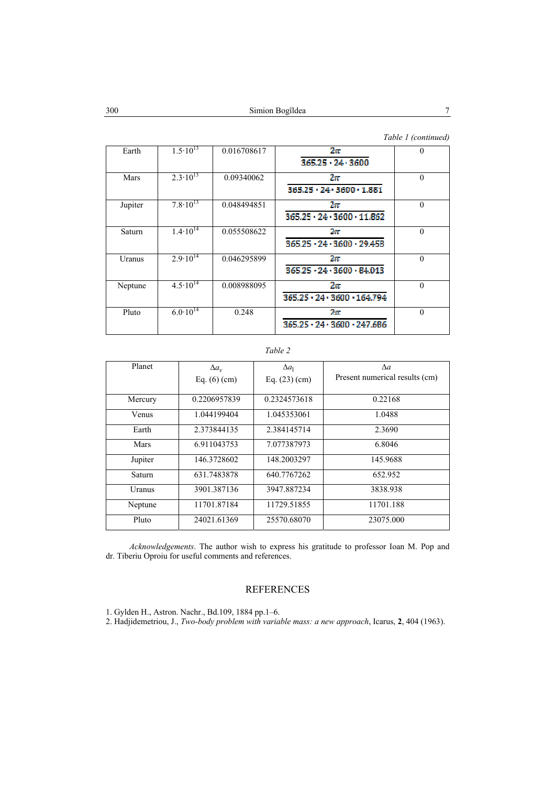### *Table 1 (continued)*

| Earth   | $1.5 \cdot \overline{10^{13}}$ | 0.016708617 | $2\pi$<br>$365.25 \cdot 24 \cdot 3600$               | $\theta$ |
|---------|--------------------------------|-------------|------------------------------------------------------|----------|
| Mars    | $2.\overline{3.10}^{13}$       | 0.09340062  | $2\pi$<br>$365.25 \cdot 24 \cdot 3600 \cdot 1.881$   | $\Omega$ |
| Jupiter | $7.8 \cdot \overline{10^{13}}$ | 0.048494851 | 2x<br>$365.25 \cdot 24 \cdot 3600 \cdot 11.862$      | $\theta$ |
| Saturn  | $1.4\cdot\overline{10^{14}}$   | 0.055508622 | $2\pi$<br>$365.25 \cdot 24 \cdot 3600 \cdot 29.458$  | $\Omega$ |
| Uranus  | $2.9 \cdot 10^{14}$            | 0.046295899 | 2x<br>$365.25 \cdot 24 \cdot 3600 \cdot 84.013$      | $\Omega$ |
| Neptune | $4.5 \cdot \overline{10^{14}}$ | 0.008988095 | $2\pi$<br>$365.25 \cdot 24 \cdot 3600 \cdot 164.794$ | $\theta$ |
| Pluto   | $6.0 \cdot \overline{10^{14}}$ | 0.248       | $2\pi$<br>$365.25 \cdot 24 \cdot 3600 \cdot 247.686$ | $\theta$ |

### *Table 2*

| Planet        | $\Delta a_{v}$ | $\Delta a_1$    | $\Delta a$                     |
|---------------|----------------|-----------------|--------------------------------|
|               | Eq. $(6)$ (cm) | Eq. $(23)$ (cm) | Present numerical results (cm) |
|               |                |                 |                                |
| Mercury       | 0.2206957839   | 0.2324573618    | 0.22168                        |
| Venus         | 1.044199404    | 1.045353061     | 1.0488                         |
| Earth         | 2.373844135    | 2.384145714     | 2.3690                         |
| Mars          | 6.911043753    | 7.077387973     | 6.8046                         |
| Jupiter       | 146.3728602    | 148.2003297     | 145.9688                       |
| Saturn        | 631.7483878    | 640.7767262     | 652.952                        |
| <b>Uranus</b> | 3901.387136    | 3947.887234     | 3838.938                       |
| Neptune       | 11701.87184    | 11729.51855     | 11701.188                      |
| Pluto         | 24021.61369    | 25570.68070     | 23075.000                      |

*Acknowledgements*. The author wish to express his gratitude to professor Ioan M. Pop and dr. Tiberiu Oproiu for useful comments and references.

# REFERENCES

1. Gylden H., Astron. Nachr., Bd.109, 1884 pp.1–6.

2. Hadjidemetriou, J., *Two-body problem with variable mass: a new approach*, Icarus, **2**, 404 (1963).